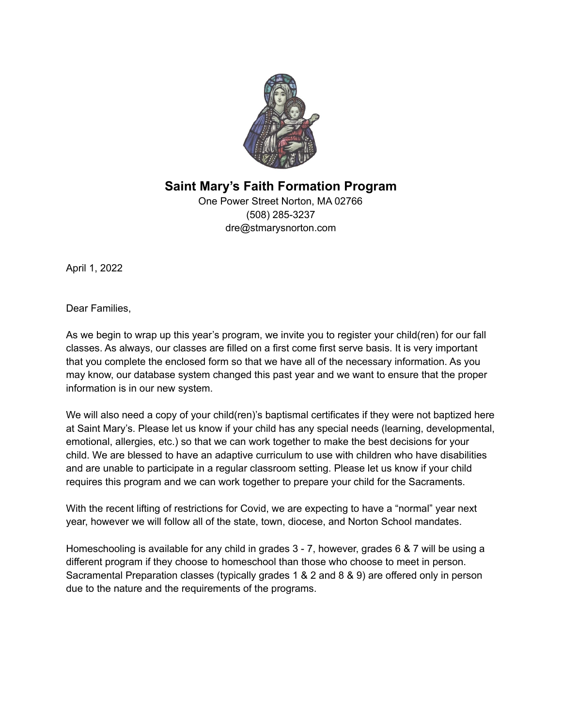

**Saint Mary's Faith Formation Program**

One Power Street Norton, MA 02766 (508) 285-3237 dre@stmarysnorton.com

April 1, 2022

Dear Families,

As we begin to wrap up this year's program, we invite you to register your child(ren) for our fall classes. As always, our classes are filled on a first come first serve basis. It is very important that you complete the enclosed form so that we have all of the necessary information. As you may know, our database system changed this past year and we want to ensure that the proper information is in our new system.

We will also need a copy of your child(ren)'s baptismal certificates if they were not baptized here at Saint Mary's. Please let us know if your child has any special needs (learning, developmental, emotional, allergies, etc.) so that we can work together to make the best decisions for your child. We are blessed to have an adaptive curriculum to use with children who have disabilities and are unable to participate in a regular classroom setting. Please let us know if your child requires this program and we can work together to prepare your child for the Sacraments.

With the recent lifting of restrictions for Covid, we are expecting to have a "normal" year next year, however we will follow all of the state, town, diocese, and Norton School mandates.

Homeschooling is available for any child in grades 3 - 7, however, grades 6 & 7 will be using a different program if they choose to homeschool than those who choose to meet in person. Sacramental Preparation classes (typically grades 1 & 2 and 8 & 9) are offered only in person due to the nature and the requirements of the programs.